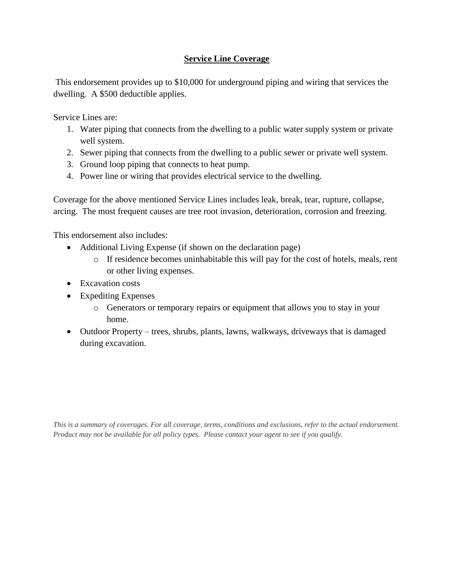## **Service Line Coverage**

This endorsement provides up to \$10,000 for underground piping and wiring that services the dwelling. A \$500 deductible applies.

Service Lines are:

- 1. Water piping that connects from the dwelling to a public water supply system or private well system.
- 2. Sewer piping that connects from the dwelling to a public sewer or private well system.
- 3. Ground loop piping that connects to heat pump.
- 4. Power line or wiring that provides electrical service to the dwelling.

Coverage for the above mentioned Service Lines includes leak, break, tear, rupture, collapse, arcing. The most frequent causes are tree root invasion, deterioration, corrosion and freezing.

This endorsement also includes:

- Additional Living Expense (if shown on the declaration page)
	- o If residence becomes uninhabitable this will pay for the cost of hotels, meals, rent or other living expenses.
- Excavation costs
- Expediting Expenses
	- o Generators or temporary repairs or equipment that allows you to stay in your home.
- Outdoor Property trees, shrubs, plants, lawns, walkways, driveways that is damaged during excavation.

*This is a summary of coverages. For all coverage, terms, conditions and exclusions, refer to the actual endorsement. Product may not be available for all policy types. Please contact your agent to see if you qualify.*